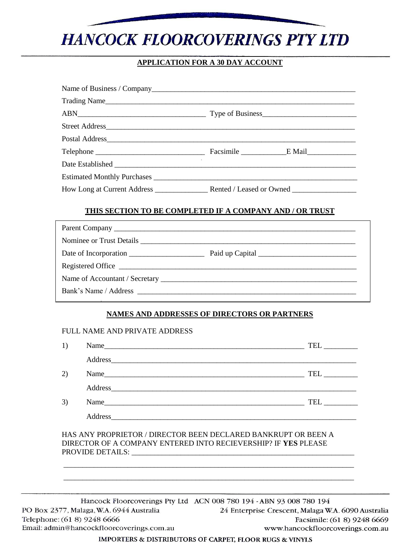**HANCOCK FLOORCOVERINGS PTY LTD** 

# **APPLICATION FOR A 30 DAY ACCOUNT**

| Trading Name |  |
|--------------|--|
|              |  |
|              |  |
|              |  |
|              |  |
|              |  |
|              |  |
|              |  |

## THIS SECTION TO BE COMPLETED IF A COMPANY AND / OR TRUST

| Nominee or Trust Details <b>Example 2018</b> |  |
|----------------------------------------------|--|
|                                              |  |
|                                              |  |
|                                              |  |
|                                              |  |
|                                              |  |

## **NAMES AND ADDRESSES OF DIRECTORS OR PARTNERS**

### FULL NAME AND PRIVATE ADDRESS

| 1)                                                                                                                               | Name                                                                | TEL $\_\_$                     |
|----------------------------------------------------------------------------------------------------------------------------------|---------------------------------------------------------------------|--------------------------------|
|                                                                                                                                  |                                                                     |                                |
| 2)                                                                                                                               |                                                                     | $TEL$ <sub>_____________</sub> |
|                                                                                                                                  |                                                                     |                                |
| 3)                                                                                                                               | Name                                                                | <b>TEL</b>                     |
|                                                                                                                                  |                                                                     |                                |
| HAS ANY PROPRIETOR / DIRECTOR BEEN DECLARED BANKRUPT OR BEEN A<br>DIRECTOR OF A COMPANY ENTERED INTO RECIEVERSHIP? IF YES PLEASE |                                                                     |                                |
|                                                                                                                                  | Hancock Eloercoverings Pty Ltd. ACN 008 780 104, ABN 03 008 780 104 |                                |

**Hancock Floorcoverings Pty Ltd** AUN 008 /80 194 - ABN 95 008 /80 194 PO Box 2377, Malaga, W.A. 6944 Australia 24 Enterprise Crescent, Malaga W.A. 6090 Australia Telephone: (61 8) 9248 6666 Facsimile: (61 8) 9248 6669 Email: admin@hancockfloorcoverings.com.au www.hancockfloorcoverings.com.au

### IMPORTERS & DISTRIBUTORS OF CARPET, FLOOR RUGS & VINYLS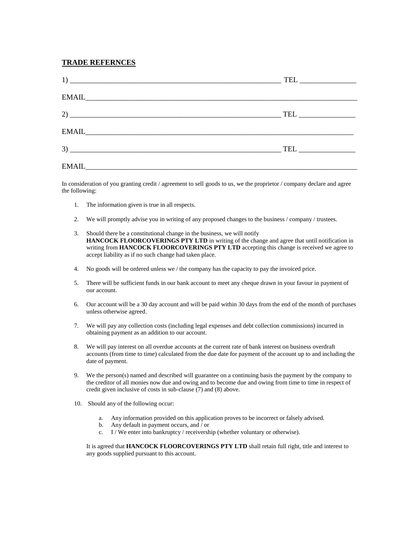### **TRADE REFERNCES**

In consideration of you granting credit / agreement to sell goods to us, we the proprietor / company declare and agree the following:

- 1. The information given is true in all respects.
- 2. We will promptly advise you in writing of any proposed changes to the business / company / trustees.
- 3. Should there be a constitutional change in the business, we will notify **HANCOCK FLOORCOVERINGS PTY LTD** in writing of the change and agree that until notification in writing from **HANCOCK FLOORCOVERINGS PTY LTD** accepting this change is received we agree to accept liability as if no such change had taken place.
- 4. No goods will be ordered unless we / the company has the capacity to pay the invoiced price.
- 5. There will be sufficient funds in our bank account to meet any cheque drawn in your favour in payment of our account.
- 6. Our account will be a 30 day account and will be paid within 30 days from the end of the month of purchases unless otherwise agreed.
- 7. We will pay any collection costs (including legal expenses and debt collection commissions) incurred in obtaining payment as an addition to our account.
- 8. We will pay interest on all overdue accounts at the current rate of bank interest on business overdraft accounts (from time to time) calculated from the due date for payment of the account up to and including the date of payment.
- 9. We the person(s) named and described will guarantee on a continuing basis the payment by the company to the creditor of all monies now due and owing and to become due and owing from time to time in respect of credit given inclusive of costs in sub-clause (7) and (8) above.
- 10. Should any of the following occur:
	- a. Any information provided on this application proves to be incorrect or falsely advised.
	- b. Any default in payment occurs, and / or
	- c. I / We enter into bankruptcy / receivership (whether voluntary or otherwise).

It is agreed that **HANCOCK FLOORCOVERINGS PTY LTD** shall retain full right, title and interest to any goods supplied pursuant to this account.